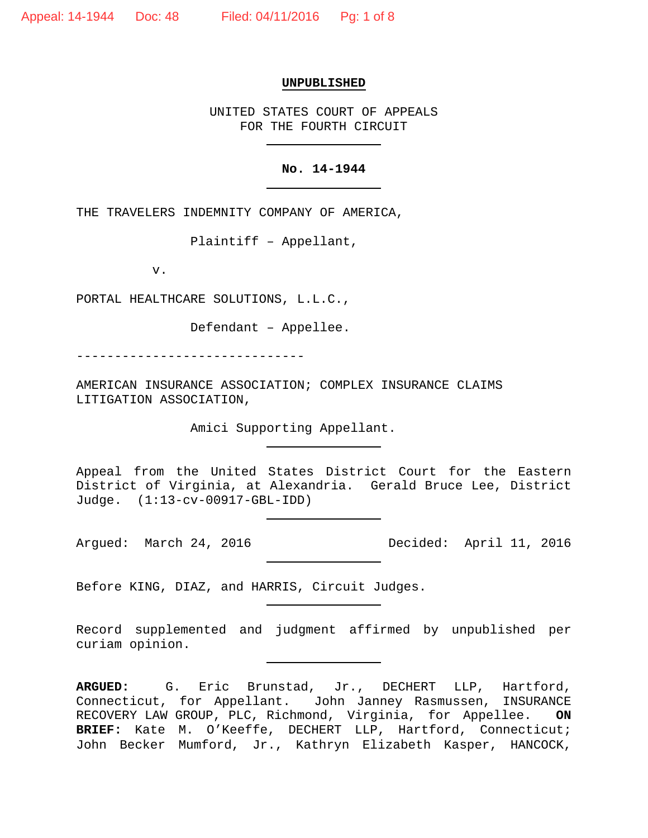#### **UNPUBLISHED**

UNITED STATES COURT OF APPEALS FOR THE FOURTH CIRCUIT

# **No. 14-1944**

THE TRAVELERS INDEMNITY COMPANY OF AMERICA,

Plaintiff – Appellant,

v.

PORTAL HEALTHCARE SOLUTIONS, L.L.C.,

Defendant – Appellee.

------------------------------

AMERICAN INSURANCE ASSOCIATION; COMPLEX INSURANCE CLAIMS LITIGATION ASSOCIATION,

Amici Supporting Appellant.

Appeal from the United States District Court for the Eastern District of Virginia, at Alexandria. Gerald Bruce Lee, District Judge. (1:13-cv-00917-GBL-IDD)

Argued: March 24, 2016 Decided: April 11, 2016

Before KING, DIAZ, and HARRIS, Circuit Judges.

Record supplemented and judgment affirmed by unpublished per curiam opinion.

**ARGUED:** G. Eric Brunstad, Jr., DECHERT LLP, Hartford, Connecticut, for Appellant. John Janney Rasmussen, INSURANCE RECOVERY LAW GROUP, PLC, Richmond, Virginia, for Appellee. **ON BRIEF:** Kate M. O'Keeffe, DECHERT LLP, Hartford, Connecticut; John Becker Mumford, Jr., Kathryn Elizabeth Kasper, HANCOCK,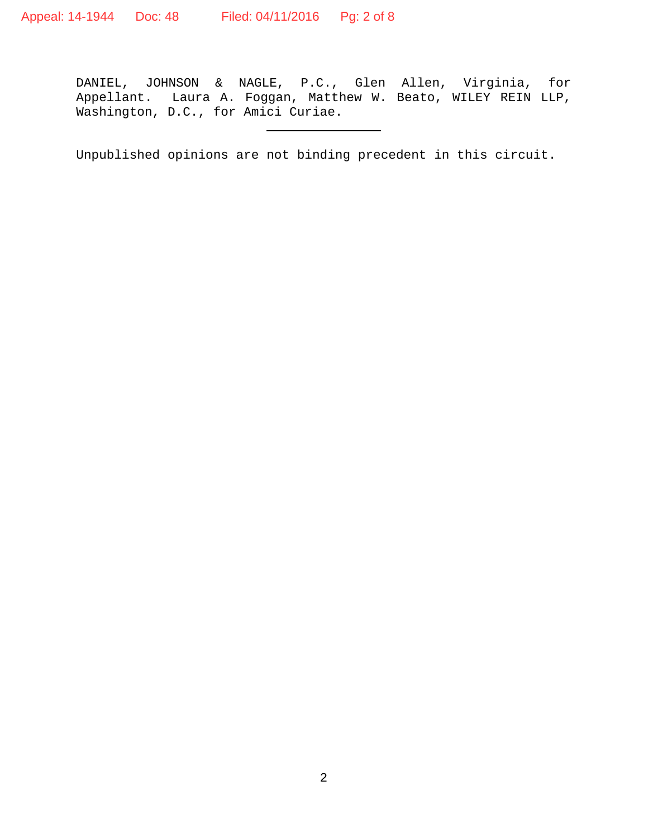DANIEL, JOHNSON & NAGLE, P.C., Glen Allen, Virginia, for Appellant. Laura A. Foggan, Matthew W. Beato, WILEY REIN LLP, Washington, D.C., for Amici Curiae.

Unpublished opinions are not binding precedent in this circuit.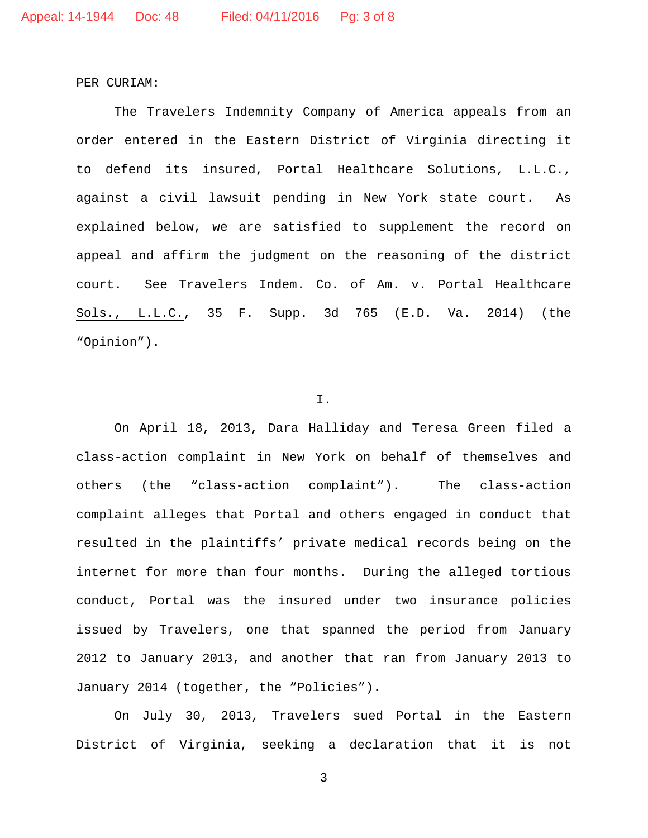PER CURIAM:

The Travelers Indemnity Company of America appeals from an order entered in the Eastern District of Virginia directing it to defend its insured, Portal Healthcare Solutions, L.L.C., against a civil lawsuit pending in New York state court. As explained below, we are satisfied to supplement the record on appeal and affirm the judgment on the reasoning of the district court. See Travelers Indem. Co. of Am. v. Portal Healthcare Sols., L.L.C., 35 F. Supp. 3d 765 (E.D. Va. 2014) (the "Opinion").

## I.

On April 18, 2013, Dara Halliday and Teresa Green filed a class-action complaint in New York on behalf of themselves and others (the "class-action complaint"). The class-action complaint alleges that Portal and others engaged in conduct that resulted in the plaintiffs' private medical records being on the internet for more than four months. During the alleged tortious conduct, Portal was the insured under two insurance policies issued by Travelers, one that spanned the period from January 2012 to January 2013, and another that ran from January 2013 to January 2014 (together, the "Policies").

On July 30, 2013, Travelers sued Portal in the Eastern District of Virginia, seeking a declaration that it is not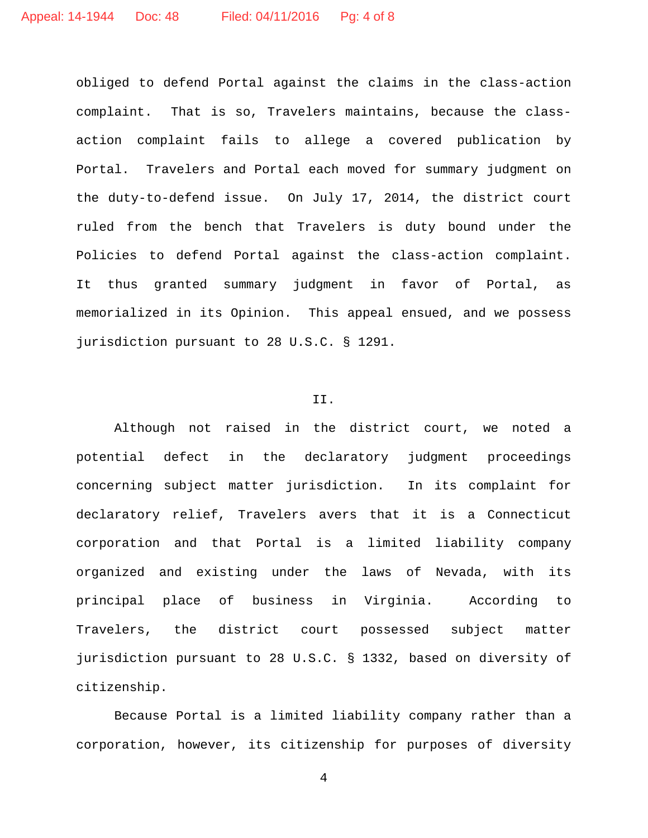obliged to defend Portal against the claims in the class-action complaint. That is so, Travelers maintains, because the classaction complaint fails to allege a covered publication by Portal. Travelers and Portal each moved for summary judgment on the duty-to-defend issue. On July 17, 2014, the district court ruled from the bench that Travelers is duty bound under the Policies to defend Portal against the class-action complaint. It thus granted summary judgment in favor of Portal, as memorialized in its Opinion. This appeal ensued, and we possess jurisdiction pursuant to 28 U.S.C. § 1291.

## II.

Although not raised in the district court, we noted a potential defect in the declaratory judgment proceedings concerning subject matter jurisdiction. In its complaint for declaratory relief, Travelers avers that it is a Connecticut corporation and that Portal is a limited liability company organized and existing under the laws of Nevada, with its principal place of business in Virginia. According to Travelers, the district court possessed subject matter jurisdiction pursuant to 28 U.S.C. § 1332, based on diversity of citizenship.

Because Portal is a limited liability company rather than a corporation, however, its citizenship for purposes of diversity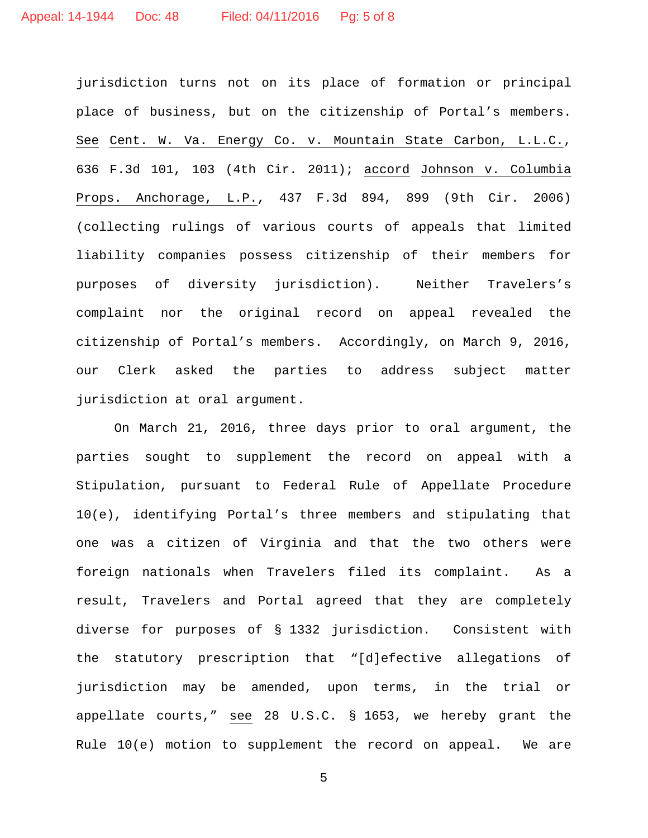jurisdiction turns not on its place of formation or principal place of business, but on the citizenship of Portal's members. See Cent. W. Va. Energy Co. v. Mountain State Carbon, L.L.C., 636 F.3d 101, 103 (4th Cir. 2011); accord Johnson v. Columbia Props. Anchorage, L.P., 437 F.3d 894, 899 (9th Cir. 2006) (collecting rulings of various courts of appeals that limited liability companies possess citizenship of their members for purposes of diversity jurisdiction). Neither Travelers's complaint nor the original record on appeal revealed the citizenship of Portal's members. Accordingly, on March 9, 2016, our Clerk asked the parties to address subject matter jurisdiction at oral argument.

On March 21, 2016, three days prior to oral argument, the parties sought to supplement the record on appeal with a Stipulation, pursuant to Federal Rule of Appellate Procedure 10(e), identifying Portal's three members and stipulating that one was a citizen of Virginia and that the two others were foreign nationals when Travelers filed its complaint. As a result, Travelers and Portal agreed that they are completely diverse for purposes of § 1332 jurisdiction. Consistent with the statutory prescription that "[d]efective allegations of jurisdiction may be amended, upon terms, in the trial or appellate courts," see 28 U.S.C. § 1653, we hereby grant the Rule 10(e) motion to supplement the record on appeal. We are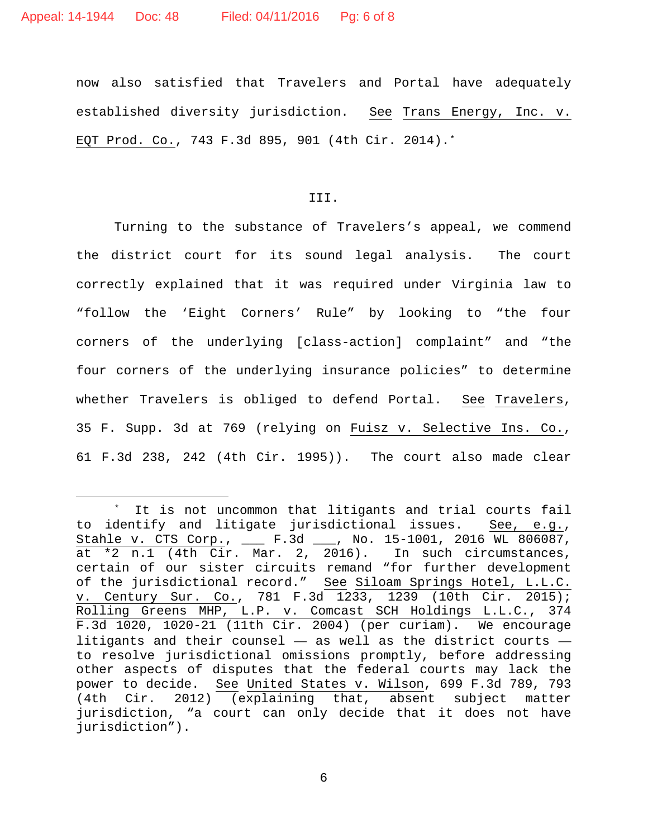now also satisfied that Travelers and Portal have adequately established diversity jurisdiction. See Trans Energy, Inc. v. EQT Prod. Co., 743 F.3d 895, 901 (4th Cir. 2014).[\\*](#page-5-0)

III.

Turning to the substance of Travelers's appeal, we commend the district court for its sound legal analysis. The court correctly explained that it was required under Virginia law to "follow the 'Eight Corners' Rule" by looking to "the four corners of the underlying [class-action] complaint" and "the four corners of the underlying insurance policies" to determine whether Travelers is obliged to defend Portal. See Travelers, 35 F. Supp. 3d at 769 (relying on Fuisz v. Selective Ins. Co., 61 F.3d 238, 242 (4th Cir. 1995)). The court also made clear

<span id="page-5-0"></span><sup>\*</sup> It is not uncommon that litigants and trial courts fail<br>dentify and litigate jurisdictional issues. See, e.g., to identify and litigate jurisdictional issues. Stahle v. CTS Corp., \_\_\_ F.3d \_\_\_, No. 15-1001, 2016 WL 806087, at \*2 n.1 (4th Cir. Mar. 2, 2016). In such circumstances, certain of our sister circuits remand "for further development of the jurisdictional record." See Siloam Springs Hotel, L.L.C. v. Century Sur. Co., 781 F.3d 1233, 1239 (10th Cir. 2015); Rolling Greens MHP, L.P. v. Comcast SCH Holdings L.L.C., 374 F.3d 1020, 1020-21 (11th Cir. 2004) (per curiam). We encourage litigants and their counsel  $-$  as well as the district courts  $$ to resolve jurisdictional omissions promptly, before addressing other aspects of disputes that the federal courts may lack the power to decide. See United States v. Wilson, 699 F.3d 789, 793 (4th Cir. 2012) (explaining that, absent subject matter jurisdiction, "a court can only decide that it does not have jurisdiction").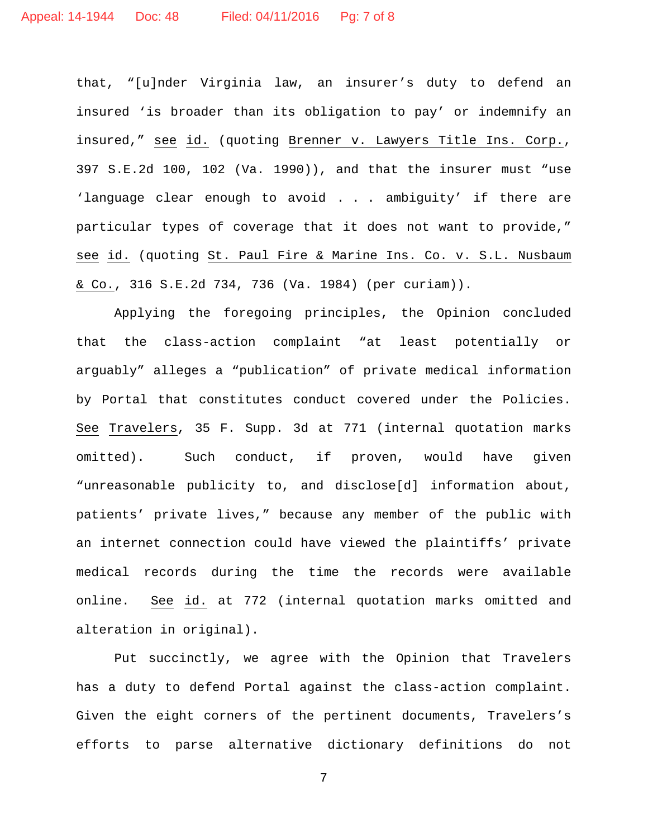that, "[u]nder Virginia law, an insurer's duty to defend an insured 'is broader than its obligation to pay' or indemnify an insured," see id. (quoting Brenner v. Lawyers Title Ins. Corp., 397 S.E.2d 100, 102 (Va. 1990)), and that the insurer must "use 'language clear enough to avoid . . . ambiguity' if there are particular types of coverage that it does not want to provide," see id. (quoting St. Paul Fire & Marine Ins. Co. v. S.L. Nusbaum & Co., 316 S.E.2d 734, 736 (Va. 1984) (per curiam)).

Applying the foregoing principles, the Opinion concluded that the class-action complaint "at least potentially or arguably" alleges a "publication" of private medical information by Portal that constitutes conduct covered under the Policies. See Travelers, 35 F. Supp. 3d at 771 (internal quotation marks omitted). Such conduct, if proven, would have given "unreasonable publicity to, and disclose[d] information about, patients' private lives," because any member of the public with an internet connection could have viewed the plaintiffs' private medical records during the time the records were available online. See id. at 772 (internal quotation marks omitted and alteration in original).

Put succinctly, we agree with the Opinion that Travelers has a duty to defend Portal against the class-action complaint. Given the eight corners of the pertinent documents, Travelers's efforts to parse alternative dictionary definitions do not